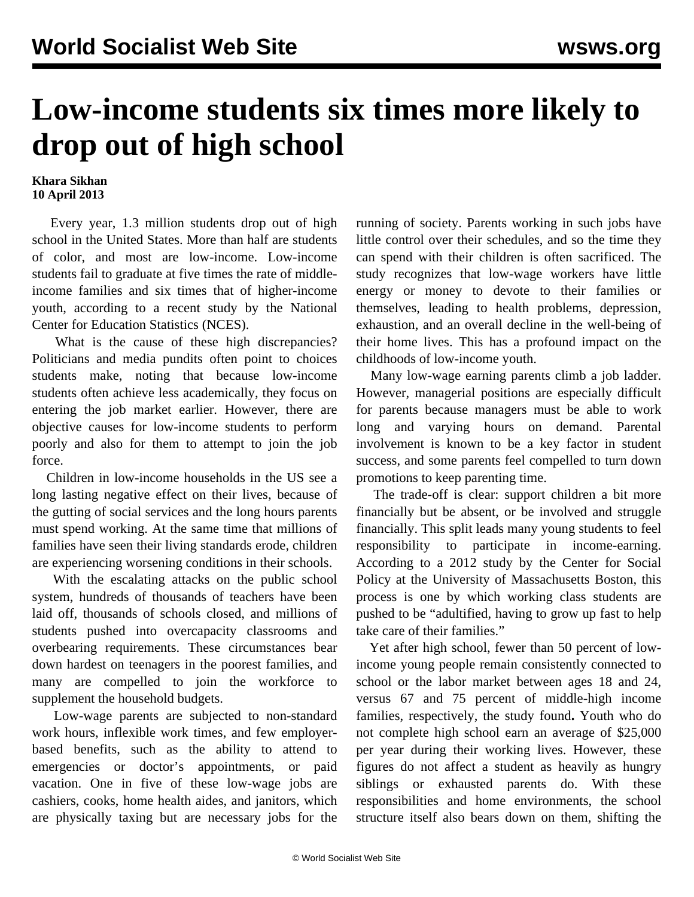## **Low-income students six times more likely to drop out of high school**

## **Khara Sikhan 10 April 2013**

 Every year, 1.3 million students drop out of high school in the United States. More than half are students of color, and most are low-income. Low-income students fail to graduate at five times the rate of middleincome families and six times that of higher-income youth, according to a recent [study by the National](http://nces.ed.gov/pubs2012/2012006.pdf) [Center for Education Statistics](http://nces.ed.gov/pubs2012/2012006.pdf) (NCES).

 What is the cause of these high discrepancies? Politicians and media pundits often point to choices students make, noting that because low-income students often achieve less academically, they focus on entering the job market earlier. However, there are objective causes for low-income students to perform poorly and also for them to attempt to join the job force.

 Children in low-income households in the US see a long lasting negative effect on their lives, because of the gutting of social services and the long hours parents must spend working. At the same time that millions of families have seen their living standards erode, children are experiencing worsening conditions in their schools.

 With the escalating attacks on the public school system, hundreds of thousands of teachers have been laid off, thousands of schools closed, and millions of students pushed into overcapacity classrooms and overbearing requirements. These circumstances bear down hardest on teenagers in the poorest families, and many are compelled to join the workforce to supplement the household budgets.

 Low-wage parents are subjected to non-standard work hours, inflexible work times, and few employerbased benefits, such as the ability to attend to emergencies or doctor's appointments, or paid vacation. One in five of these low-wage jobs are cashiers, cooks, home health aides, and janitors, which are physically taxing but are necessary jobs for the running of society. Parents working in such jobs have little control over their schedules, and so the time they can spend with their children is often sacrificed. The study recognizes that low-wage workers have little energy or money to devote to their families or themselves, leading to health problems, depression, exhaustion, and an overall decline in the well-being of their home lives. This has a profound impact on the childhoods of low-income youth.

 Many low-wage earning parents climb a job ladder. However, managerial positions are especially difficult for parents because managers must be able to work long and varying hours on demand. Parental involvement is known to be a key factor in student success, and some parents feel compelled to turn down promotions to keep parenting time.

 The trade-off is clear: support children a bit more financially but be absent, or be involved and struggle financially. This split leads many young students to feel responsibility to participate in income-earning. According to a 2012 [study by the Center for Social](http://cdn.umb.edu/images/centers_institutes/center_social_policy/Youth_at_RiskParents_Low_Wage_Jobs_Fall_121.pdf) [Policy at the University of Massachusetts Boston,](http://cdn.umb.edu/images/centers_institutes/center_social_policy/Youth_at_RiskParents_Low_Wage_Jobs_Fall_121.pdf) this process is one by which working class students are pushed to be "adultified, having to grow up fast to help take care of their families."

 Yet after high school, fewer than 50 percent of lowincome young people remain consistently connected to school or the labor market between ages 18 and 24, versus 67 and 75 percent of middle-high income families, respectively, the study found**.** Youth who do not complete high school earn an average of \$25,000 per year during their working lives. However, these figures do not affect a student as heavily as hungry siblings or exhausted parents do. With these responsibilities and home environments, the school structure itself also bears down on them, shifting the